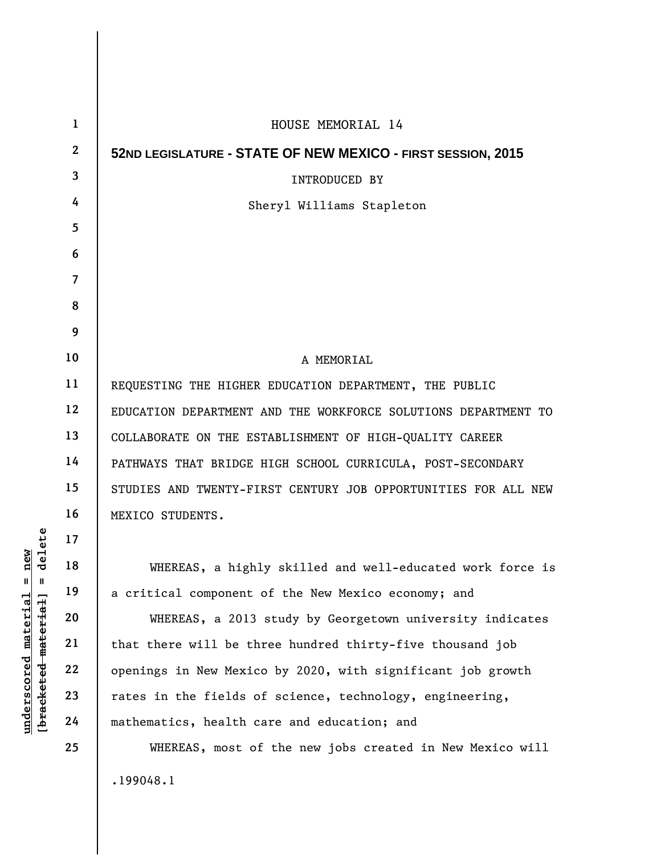| 1                | HOUSE MEMORIAL 14                                              |
|------------------|----------------------------------------------------------------|
| $\boldsymbol{2}$ | 52ND LEGISLATURE - STATE OF NEW MEXICO - FIRST SESSION, 2015   |
| 3                | <b>INTRODUCED BY</b>                                           |
| 4                | Sheryl Williams Stapleton                                      |
| 5                |                                                                |
| 6                |                                                                |
| 7                |                                                                |
| 8                |                                                                |
| 9                |                                                                |
| 10               | A MEMORIAL                                                     |
| 11               | REQUESTING THE HIGHER EDUCATION DEPARTMENT, THE PUBLIC         |
| 12               | EDUCATION DEPARTMENT AND THE WORKFORCE SOLUTIONS DEPARTMENT TO |
| 13               | COLLABORATE ON THE ESTABLISHMENT OF HIGH-QUALITY CAREER        |
| 14               | PATHWAYS THAT BRIDGE HIGH SCHOOL CURRICULA, POST-SECONDARY     |
| 15               | STUDIES AND TWENTY-FIRST CENTURY JOB OPPORTUNITIES FOR ALL NEW |
| 16               | MEXICO STUDENTS.                                               |
| 17               |                                                                |
| 18               | WHEREAS, a highly skilled and well-educated work force is      |
| 19               | a critical component of the New Mexico economy; and            |
| 20               | WHEREAS, a 2013 study by Georgetown university indicates       |
| 21               | that there will be three hundred thirty-five thousand job      |
| 22               | openings in New Mexico by 2020, with significant job growth    |
| 23               | rates in the fields of science, technology, engineering,       |
| 24               | mathematics, health care and education; and                    |
| 25               | WHEREAS, most of the new jobs created in New Mexico will       |
|                  | .199048.1                                                      |

 $[bracketeed-materiat] = delete$ **[bracketed material] = delete**  $underscored material = new$ **underscored material = new**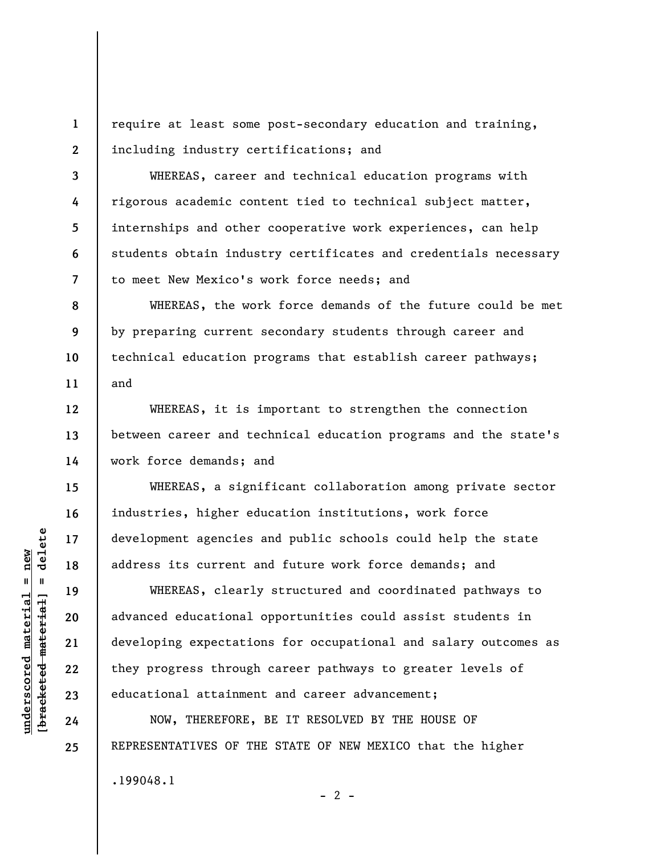**1 2**  require at least some post-secondary education and training, including industry certifications; and

WHEREAS, career and technical education programs with rigorous academic content tied to technical subject matter, internships and other cooperative work experiences, can help students obtain industry certificates and credentials necessary to meet New Mexico's work force needs; and

WHEREAS, the work force demands of the future could be met by preparing current secondary students through career and technical education programs that establish career pathways; and

WHEREAS, it is important to strengthen the connection between career and technical education programs and the state's work force demands; and

WHEREAS, a significant collaboration among private sector industries, higher education institutions, work force development agencies and public schools could help the state address its current and future work force demands; and

WHEREAS, clearly structured and coordinated pathways to advanced educational opportunities could assist students in developing expectations for occupational and salary outcomes as they progress through career pathways to greater levels of educational attainment and career advancement;

NOW, THEREFORE, BE IT RESOLVED BY THE HOUSE OF REPRESENTATIVES OF THE STATE OF NEW MEXICO that the higher .199048.1  $- 2 -$ 

 $\frac{1}{2}$  intereted material = delete **[bracketed material] = delete**  $underscored material = new$ **underscored material = new**

**3** 

**4** 

**5** 

**6** 

**7** 

**8** 

**9** 

**10** 

**11** 

**12** 

**13** 

**14** 

**15** 

**16** 

**17** 

**18** 

**19** 

**20** 

**21** 

**22** 

**23** 

**24** 

**25**